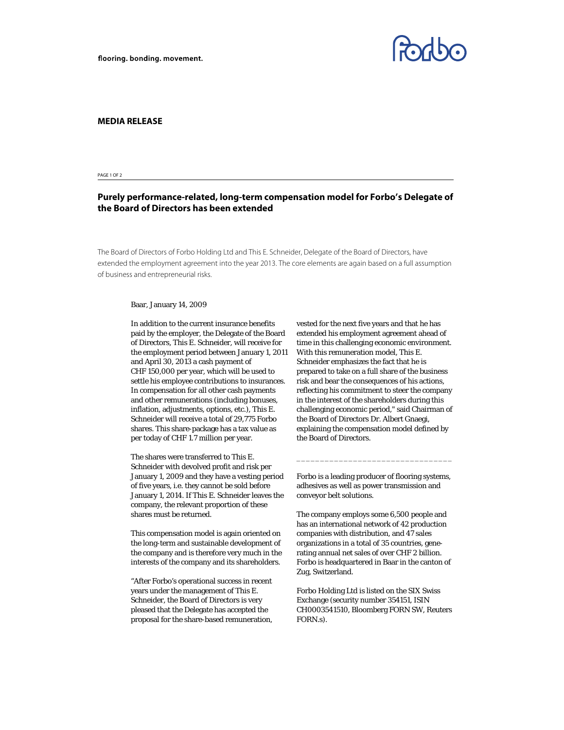

## **MEDIA RELEASE**

PAGE 1 OF 2

## **Purely performance-related, long-term compensation model for Forbo's Delegate of the Board of Directors has been extended**

The Board of Directors of Forbo Holding Ltd and This E. Schneider, Delegate of the Board of Directors, have extended the employment agreement into the year 2013. The core elements are again based on a full assumption of business and entrepreneurial risks.

## Baar, January 14, 2009

In addition to the current insurance benefits paid by the employer, the Delegate of the Board of Directors, This E. Schneider, will receive for the employment period between January 1, 2011 and April 30, 2013 a cash payment of CHF 150,000 per year, which will be used to settle his employee contributions to insurances. In compensation for all other cash payments and other remunerations (including bonuses, inflation, adjustments, options, etc.), This E. Schneider will receive a total of 29,775 Forbo shares. This share-package has a tax value as per today of CHF 1.7 million per year.

The shares were transferred to This E. Schneider with devolved profit and risk per January 1, 2009 and they have a vesting period of five years, i.e. they cannot be sold before January 1, 2014. If This E. Schneider leaves the company, the relevant proportion of these shares must be returned.

This compensation model is again oriented on the long-term and sustainable development of the company and is therefore very much in the interests of the company and its shareholders.

"After Forbo's operational success in recent years under the management of This E. Schneider, the Board of Directors is very pleased that the Delegate has accepted the proposal for the share-based remuneration, vested for the next five years and that he has extended his employment agreement ahead of time in this challenging economic environment. With this remuneration model, This E. Schneider emphasizes the fact that he is prepared to take on a full share of the business risk and bear the consequences of his actions, reflecting his commitment to steer the company in the interest of the shareholders during this challenging economic period," said Chairman of the Board of Directors Dr. Albert Gnaegi, explaining the compensation model defined by the Board of Directors.

Forbo is a leading producer of flooring systems, adhesives as well as power transmission and conveyor belt solutions.

\_\_\_\_\_\_\_\_\_\_\_\_\_\_\_\_\_\_\_\_\_\_\_\_\_\_\_\_\_\_\_\_\_

The company employs some 6,500 people and has an international network of 42 production companies with distribution, and 47 sales organizations in a total of 35 countries, generating annual net sales of over CHF 2 billion. Forbo is headquartered in Baar in the canton of Zug, Switzerland.

Forbo Holding Ltd is listed on the SIX Swiss Exchange (security number 354151, ISIN CH0003541510, Bloomberg FORN SW, Reuters FORN.s).